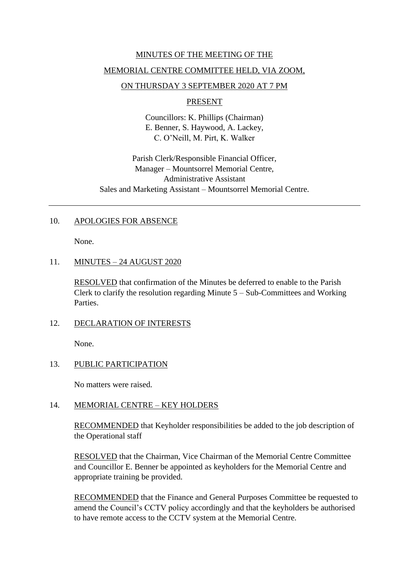# MINUTES OF THE MEETING OF THE

# MEMORIAL CENTRE COMMITTEE HELD, VIA ZOOM,

# ON THURSDAY 3 SEPTEMBER 2020 AT 7 PM

### PRESENT

Councillors: K. Phillips (Chairman) E. Benner, S. Haywood, A. Lackey, C. O'Neill, M. Pirt, K. Walker

Parish Clerk/Responsible Financial Officer, Manager – Mountsorrel Memorial Centre, Administrative Assistant Sales and Marketing Assistant – Mountsorrel Memorial Centre.

# 10. APOLOGIES FOR ABSENCE

None.

# 11. MINUTES – 24 AUGUST 2020

RESOLVED that confirmation of the Minutes be deferred to enable to the Parish Clerk to clarify the resolution regarding Minute 5 – Sub-Committees and Working Parties.

### 12. DECLARATION OF INTERESTS

None.

# 13. PUBLIC PARTICIPATION

No matters were raised.

### 14. MEMORIAL CENTRE – KEY HOLDERS

RECOMMENDED that Keyholder responsibilities be added to the job description of the Operational staff

RESOLVED that the Chairman, Vice Chairman of the Memorial Centre Committee and Councillor E. Benner be appointed as keyholders for the Memorial Centre and appropriate training be provided.

RECOMMENDED that the Finance and General Purposes Committee be requested to amend the Council's CCTV policy accordingly and that the keyholders be authorised to have remote access to the CCTV system at the Memorial Centre.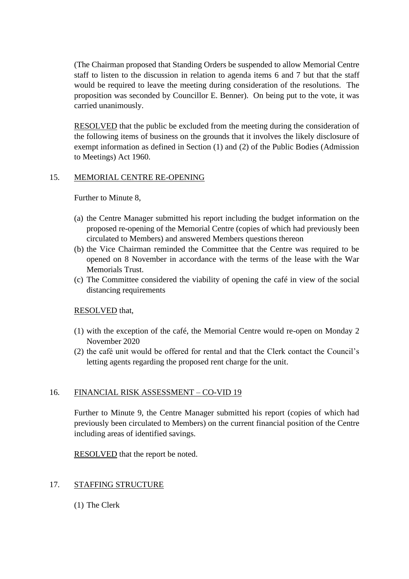(The Chairman proposed that Standing Orders be suspended to allow Memorial Centre staff to listen to the discussion in relation to agenda items 6 and 7 but that the staff would be required to leave the meeting during consideration of the resolutions. The proposition was seconded by Councillor E. Benner). On being put to the vote, it was carried unanimously.

RESOLVED that the public be excluded from the meeting during the consideration of the following items of business on the grounds that it involves the likely disclosure of exempt information as defined in Section (1) and (2) of the Public Bodies (Admission to Meetings) Act 1960.

#### 15. MEMORIAL CENTRE RE-OPENING

Further to Minute 8,

- (a) the Centre Manager submitted his report including the budget information on the proposed re-opening of the Memorial Centre (copies of which had previously been circulated to Members) and answered Members questions thereon
- (b) the Vice Chairman reminded the Committee that the Centre was required to be opened on 8 November in accordance with the terms of the lease with the War Memorials Trust.
- (c) The Committee considered the viability of opening the café in view of the social distancing requirements

### RESOLVED that,

- (1) with the exception of the café, the Memorial Centre would re-open on Monday 2 November 2020
- (2) the café unit would be offered for rental and that the Clerk contact the Council's letting agents regarding the proposed rent charge for the unit.

### 16. FINANCIAL RISK ASSESSMENT – CO-VID 19

Further to Minute 9, the Centre Manager submitted his report (copies of which had previously been circulated to Members) on the current financial position of the Centre including areas of identified savings.

RESOLVED that the report be noted.

### 17. STAFFING STRUCTURE

(1) The Clerk